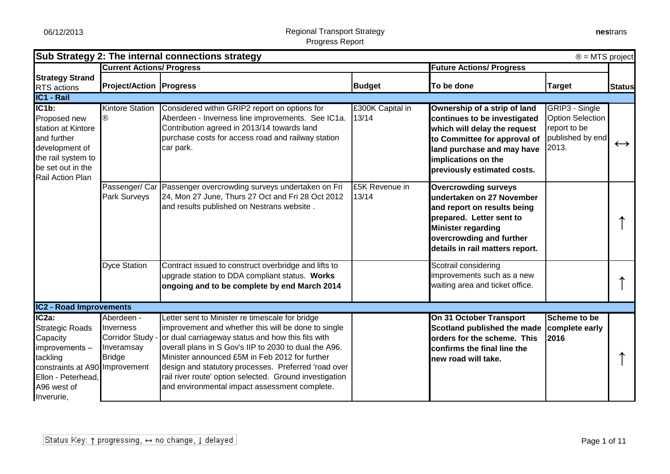|                                                                                                                                                                           |                                                                          | Sub Strategy 2: The internal connections strategy                                                                                                                                                                                                                                                                                                                                                                                          |                           |                                                                                                                                                                                                                  | $\circledR$ = MTS project                                                              |                   |
|---------------------------------------------------------------------------------------------------------------------------------------------------------------------------|--------------------------------------------------------------------------|--------------------------------------------------------------------------------------------------------------------------------------------------------------------------------------------------------------------------------------------------------------------------------------------------------------------------------------------------------------------------------------------------------------------------------------------|---------------------------|------------------------------------------------------------------------------------------------------------------------------------------------------------------------------------------------------------------|----------------------------------------------------------------------------------------|-------------------|
|                                                                                                                                                                           | <b>Current Actions/ Progress</b>                                         |                                                                                                                                                                                                                                                                                                                                                                                                                                            |                           | <b>Future Actions/ Progress</b>                                                                                                                                                                                  |                                                                                        |                   |
| <b>Strategy Strand</b><br><b>RTS</b> actions                                                                                                                              | <b>Project/Action   Progress</b>                                         |                                                                                                                                                                                                                                                                                                                                                                                                                                            | <b>Budget</b>             | To be done                                                                                                                                                                                                       | <b>Target</b>                                                                          | <b>Status</b>     |
| IC1 - Rail                                                                                                                                                                |                                                                          |                                                                                                                                                                                                                                                                                                                                                                                                                                            |                           |                                                                                                                                                                                                                  |                                                                                        |                   |
| IC <sub>1</sub> b:<br>Proposed new<br>station at Kintore<br>and further<br>development of<br>the rail system to<br>be set out in the<br>Rail Action Plan                  | <b>Kintore Station</b><br>®                                              | Considered within GRIP2 report on options for<br>Aberdeen - Inverness line improvements. See IC1a.<br>Contribution agreed in 2013/14 towards land<br>purchase costs for access road and railway station<br>car park.                                                                                                                                                                                                                       | £300K Capital in<br>13/14 | Ownership of a strip of land<br>continues to be investigated<br>which will delay the request<br>to Committee for approval of<br>land purchase and may have<br>implications on the<br>previously estimated costs. | GRIP3 - Single<br><b>Option Selection</b><br>report to be<br>published by end<br>2013. | $\leftrightarrow$ |
|                                                                                                                                                                           | Park Surveys                                                             | Passenger/ Car Passenger overcrowding surveys undertaken on Fri<br>24, Mon 27 June, Thurs 27 Oct and Fri 28 Oct 2012<br>and results published on Nestrans website.                                                                                                                                                                                                                                                                         | £5K Revenue in<br>13/14   | <b>Overcrowding surveys</b><br>undertaken on 27 November<br>and report on results being<br>prepared. Letter sent to<br><b>Minister regarding</b><br>overcrowding and further<br>details in rail matters report.  |                                                                                        |                   |
|                                                                                                                                                                           | <b>Dyce Station</b>                                                      | Contract issued to construct overbridge and lifts to<br>upgrade station to DDA compliant status. Works<br>ongoing and to be complete by end March 2014                                                                                                                                                                                                                                                                                     |                           | Scotrail considering<br>improvements such as a new<br>waiting area and ticket office.                                                                                                                            |                                                                                        |                   |
| <b>IC2 - Road Improvements</b>                                                                                                                                            |                                                                          |                                                                                                                                                                                                                                                                                                                                                                                                                                            |                           |                                                                                                                                                                                                                  |                                                                                        |                   |
| IC <sub>2a</sub> :<br><b>Strategic Roads</b><br>Capacity<br>mprovements-<br>tackling<br>constraints at A90 Improvement<br>Ellon - Peterhead,<br>A96 west of<br>Inverurie, | Aberdeen -<br>Inverness<br>Corridor Study<br>Inveramsay<br><b>Bridge</b> | Letter sent to Minister re timescale for bridge<br>improvement and whether this will be done to single<br>or dual carriageway status and how this fits with<br>overall plans in S Gov's IIP to 2030 to dual the A96.<br>Minister announced £5M in Feb 2012 for further<br>design and statutory processes. Preferred 'road over<br>rail river route' option selected. Ground investigation<br>and environmental impact assessment complete. |                           | On 31 October Transport<br>Scotland published the made<br>orders for the scheme. This<br>confirms the final line the<br>new road will take.                                                                      | Scheme to be<br>complete early<br>2016                                                 |                   |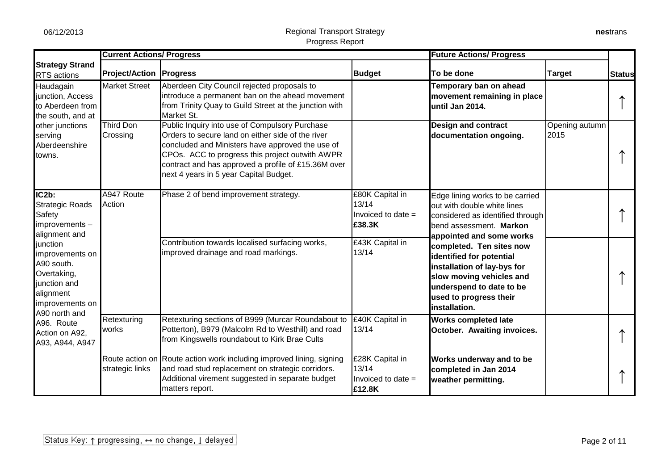constraints at A900 and the A900 and the A900 and the A900 and the A900 and the A900 and the A900 and the A900

|                                                                                                                                                                                               | <b>Current Actions/ Progress</b> |                                                                                                                                                                                                                                                                                                             |                                                            | <b>Future Actions/ Progress</b>                                                                                                                                                        |                        |               |
|-----------------------------------------------------------------------------------------------------------------------------------------------------------------------------------------------|----------------------------------|-------------------------------------------------------------------------------------------------------------------------------------------------------------------------------------------------------------------------------------------------------------------------------------------------------------|------------------------------------------------------------|----------------------------------------------------------------------------------------------------------------------------------------------------------------------------------------|------------------------|---------------|
| <b>Strategy Strand</b><br>RTS actions                                                                                                                                                         | <b>Project/Action   Progress</b> |                                                                                                                                                                                                                                                                                                             | <b>Budget</b>                                              | To be done                                                                                                                                                                             | <b>Target</b>          | <b>Status</b> |
| Haudagain<br>junction, Access<br>to Aberdeen from<br>the south, and at                                                                                                                        | <b>Market Street</b>             | Aberdeen City Council rejected proposals to<br>introduce a permanent ban on the ahead movement<br>from Trinity Quay to Guild Street at the junction with<br>Market St.                                                                                                                                      |                                                            | Temporary ban on ahead<br>movement remaining in place<br>until Jan 2014.                                                                                                               |                        |               |
| other junctions<br>serving<br>Aberdeenshire<br>towns.                                                                                                                                         | <b>Third Don</b><br>Crossing     | Public Inquiry into use of Compulsory Purchase<br>Orders to secure land on either side of the river<br>concluded and Ministers have approved the use of<br>CPOs. ACC to progress this project outwith AWPR<br>contract and has approved a profile of £15.36M over<br>next 4 years in 5 year Capital Budget. |                                                            | <b>Design and contract</b><br>documentation ongoing.                                                                                                                                   | Opening autumn<br>2015 |               |
| IC2b:<br><b>Strategic Roads</b><br>Safety<br>improvements -                                                                                                                                   | A947 Route<br>Action             | Phase 2 of bend improvement strategy.                                                                                                                                                                                                                                                                       | £80K Capital in<br>13/14<br>Invoiced to date =<br>£38.3K   | Edge lining works to be carried<br>out with double white lines<br>considered as identified through<br>bend assessment. Markon<br>appointed and some works                              |                        |               |
| alignment and<br>junction<br>improvements on<br>A90 south.<br>Overtaking,<br>junction and<br>alignment<br>improvements on<br>A90 north and<br>A96. Route<br>Action on A92,<br>A93, A944, A947 |                                  | Contribution towards localised surfacing works,<br>improved drainage and road markings.                                                                                                                                                                                                                     | £43K Capital in<br>13/14                                   | completed. Ten sites now<br>identified for potential<br>installation of lay-bys for<br>slow moving vehicles and<br>underspend to date to be<br>used to progress their<br>installation. |                        |               |
|                                                                                                                                                                                               | Retexturing<br>works             | Retexturing sections of B999 (Murcar Roundabout to<br>Potterton), B979 (Malcolm Rd to Westhill) and road<br>from Kingswells roundabout to Kirk Brae Cults                                                                                                                                                   | £40K Capital in<br>13/14                                   | <b>Works completed late</b><br><b>October. Awaiting invoices.</b>                                                                                                                      |                        |               |
|                                                                                                                                                                                               | strategic links                  | Route action on Route action work including improved lining, signing<br>and road stud replacement on strategic corridors.<br>Additional virement suggested in separate budget<br>matters report.                                                                                                            | £28K Capital in<br>13/14<br>Invoiced to date $=$<br>£12.8K | Works underway and to be<br>completed in Jan 2014<br>weather permitting.                                                                                                               |                        |               |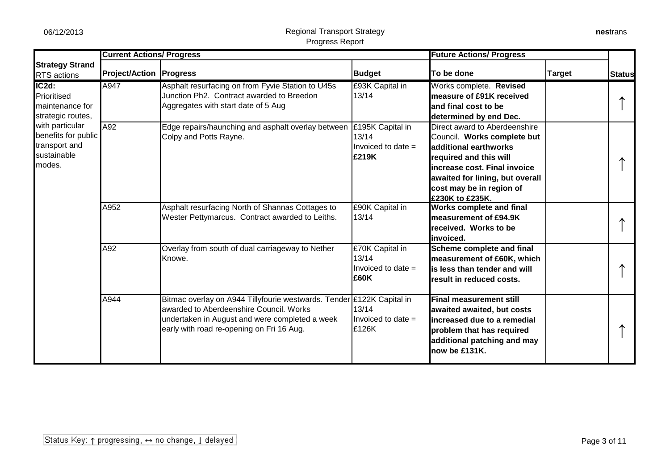|                                                                                  | <b>Current Actions/ Progress</b> |                                                                                                                                                                                                                 |                                                            | <b>Future Actions/ Progress</b>                                                                                                                                                                                                    |               |               |
|----------------------------------------------------------------------------------|----------------------------------|-----------------------------------------------------------------------------------------------------------------------------------------------------------------------------------------------------------------|------------------------------------------------------------|------------------------------------------------------------------------------------------------------------------------------------------------------------------------------------------------------------------------------------|---------------|---------------|
| <b>Strategy Strand</b><br><b>RTS</b> actions                                     | <b>Project/Action   Progress</b> |                                                                                                                                                                                                                 | <b>Budget</b>                                              | To be done                                                                                                                                                                                                                         | <b>Target</b> | <b>Status</b> |
| $IC2d$ :<br>Prioritised<br>maintenance for<br>strategic routes,                  | A947                             | Asphalt resurfacing on from Fyvie Station to U45s<br>Junction Ph2. Contract awarded to Breedon<br>Aggregates with start date of 5 Aug                                                                           | £93K Capital in<br>13/14                                   | Works complete. Revised<br>Imeasure of £91K received<br>land final cost to be<br>determined by end Dec.                                                                                                                            |               |               |
| with particular<br>benefits for public<br>transport and<br>sustainable<br>modes. | A92                              | Edge repairs/haunching and asphalt overlay between<br>Colpy and Potts Rayne.                                                                                                                                    | £195K Capital in<br>13/14<br>Invoiced to date $=$<br>£219K | Direct award to Aberdeenshire<br>Council. Works complete but<br>additional earthworks<br>required and this will<br>lincrease cost. Final invoice<br>awaited for lining, but overall<br>cost may be in region of<br>£230K to £235K. |               |               |
|                                                                                  | A952                             | Asphalt resurfacing North of Shannas Cottages to<br>Wester Pettymarcus. Contract awarded to Leiths.                                                                                                             | £90K Capital in<br>13/14                                   | <b>Works complete and final</b><br>measurement of £94.9K<br>received. Works to be<br>linvoiced.                                                                                                                                    |               |               |
|                                                                                  | A92                              | Overlay from south of dual carriageway to Nether<br>Knowe.                                                                                                                                                      | £70K Capital in<br>13/14<br>Invoiced to date $=$<br>£60K   | Scheme complete and final<br>measurement of £60K, which<br>lis less than tender and will<br><b>Tresult in reduced costs.</b>                                                                                                       |               |               |
|                                                                                  | A944                             | Bitmac overlay on A944 Tillyfourie westwards. Tender £122K Capital in<br>awarded to Aberdeenshire Council. Works<br>undertaken in August and were completed a week<br>early with road re-opening on Fri 16 Aug. | 13/14<br>Invoiced to date =<br>£126K                       | <b>Final measurement still</b><br>awaited awaited, but costs<br>lincreased due to a remedial<br>problem that has required<br>additional patching and may<br>now be £131K.                                                          |               |               |

**nes**trans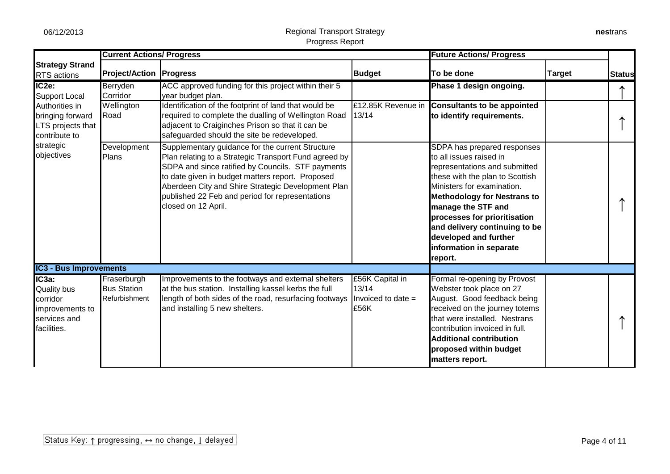|                                                                                           | <b>Current Actions/ Progress</b>                   |                                                                                                                                                                                                                                                                                                                                                    |                                                          | <b>Future Actions/ Progress</b>                                                                                                                                                                                                                                                                                                                      |               |               |
|-------------------------------------------------------------------------------------------|----------------------------------------------------|----------------------------------------------------------------------------------------------------------------------------------------------------------------------------------------------------------------------------------------------------------------------------------------------------------------------------------------------------|----------------------------------------------------------|------------------------------------------------------------------------------------------------------------------------------------------------------------------------------------------------------------------------------------------------------------------------------------------------------------------------------------------------------|---------------|---------------|
| <b>Strategy Strand</b><br>RTS actions                                                     | <b>Project/Action Progress</b>                     |                                                                                                                                                                                                                                                                                                                                                    | <b>Budget</b>                                            | To be done                                                                                                                                                                                                                                                                                                                                           | <b>Target</b> | <b>Status</b> |
| IC <sub>2e</sub> :<br><b>Support Local</b>                                                | Berryden<br>Corridor                               | ACC approved funding for this project within their 5<br>year budget plan.                                                                                                                                                                                                                                                                          |                                                          | Phase 1 design ongoing.                                                                                                                                                                                                                                                                                                                              |               |               |
| Authorities in<br>bringing forward<br>LTS projects that<br>contribute to                  | Wellington<br>Road                                 | Identification of the footprint of land that would be<br>required to complete the dualling of Wellington Road<br>adjacent to Craiginches Prison so that it can be<br>safeguarded should the site be redeveloped.                                                                                                                                   | £12.85K Revenue in<br>13/14                              | <b>Consultants to be appointed</b><br>to identify requirements.                                                                                                                                                                                                                                                                                      |               |               |
| strategic<br>objectives                                                                   | Development<br>Plans                               | Supplementary guidance for the current Structure<br>Plan relating to a Strategic Transport Fund agreed by<br>SDPA and since ratified by Councils. STF payments<br>to date given in budget matters report. Proposed<br>Aberdeen City and Shire Strategic Development Plan<br>published 22 Feb and period for representations<br>closed on 12 April. |                                                          | SDPA has prepared responses<br>to all issues raised in<br>representations and submitted<br>these with the plan to Scottish<br>Ministers for examination.<br><b>Methodology for Nestrans to</b><br>manage the STF and<br>processes for prioritisation<br>and delivery continuing to be<br>developed and further<br>information in separate<br>report. |               |               |
| <b>IC3 - Bus Improvements</b>                                                             |                                                    |                                                                                                                                                                                                                                                                                                                                                    |                                                          |                                                                                                                                                                                                                                                                                                                                                      |               |               |
| IC3a:<br><b>Quality bus</b><br>corridor<br>improvements to<br>services and<br>facilities. | Fraserburgh<br><b>Bus Station</b><br>Refurbishment | Improvements to the footways and external shelters<br>at the bus station. Installing kassel kerbs the full<br>length of both sides of the road, resurfacing footways<br>and installing 5 new shelters.                                                                                                                                             | £56K Capital in<br>13/14<br>Invoiced to date $=$<br>£56K | Formal re-opening by Provost<br>Webster took place on 27<br>August. Good feedback being<br>received on the journey totems<br>that were installed. Nestrans<br>contribution invoiced in full.<br><b>Additional contribution</b><br>proposed within budget<br>matters report.                                                                          |               |               |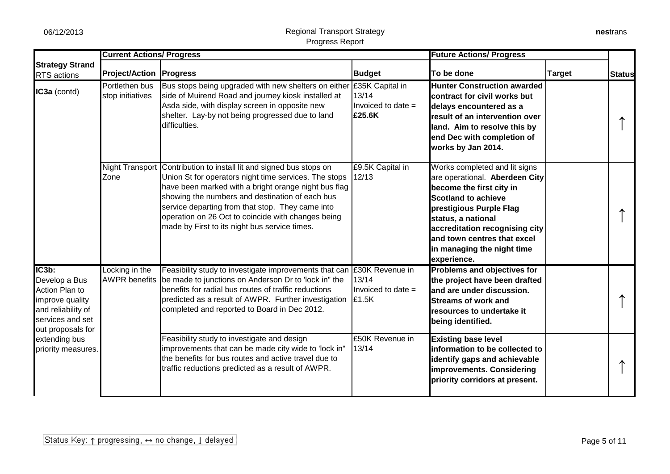|                                                                                                                            | <b>Current Actions/ Progress</b>       |                                                                                                                                                                                                                                                                                                                                                                                    |                                         | <b>Future Actions/ Progress</b>                                                                                                                                                                                                                                                          |               |               |
|----------------------------------------------------------------------------------------------------------------------------|----------------------------------------|------------------------------------------------------------------------------------------------------------------------------------------------------------------------------------------------------------------------------------------------------------------------------------------------------------------------------------------------------------------------------------|-----------------------------------------|------------------------------------------------------------------------------------------------------------------------------------------------------------------------------------------------------------------------------------------------------------------------------------------|---------------|---------------|
| <b>Strategy Strand</b><br><b>RTS</b> actions                                                                               | <b>Project/Action Progress</b>         |                                                                                                                                                                                                                                                                                                                                                                                    | <b>Budget</b>                           | To be done                                                                                                                                                                                                                                                                               | <b>Target</b> | <b>Status</b> |
| IC3a (contd)                                                                                                               | Portlethen bus<br>stop initiatives     | Bus stops being upgraded with new shelters on either £35K Capital in<br>side of Muirend Road and journey kiosk installed at<br>Asda side, with display screen in opposite new<br>shelter. Lay-by not being progressed due to land<br>difficulties.                                                                                                                                 | 13/14<br>Invoiced to date $=$<br>£25.6K | <b>Hunter Construction awarded</b><br>contract for civil works but<br>delays encountered as a<br>result of an intervention over<br>land. Aim to resolve this by<br>end Dec with completion of<br>works by Jan 2014.                                                                      |               |               |
|                                                                                                                            | <b>Night Transport</b><br>Zone         | Contribution to install lit and signed bus stops on<br>Union St for operators night time services. The stops<br>have been marked with a bright orange night bus flag<br>showing the numbers and destination of each bus<br>service departing from that stop. They came into<br>operation on 26 Oct to coincide with changes being<br>made by First to its night bus service times. | £9.5K Capital in<br>12/13               | Works completed and lit signs<br>are operational. Aberdeen City<br>become the first city in<br><b>Scotland to achieve</b><br>prestigious Purple Flag<br>status, a national<br>accreditation recognising city<br>and town centres that excel<br>in managing the night time<br>experience. |               |               |
| IC3b:<br>Develop a Bus<br>Action Plan to<br>improve quality<br>and reliability of<br>services and set<br>out proposals for | Locking in the<br><b>AWPR</b> benefits | Feasibility study to investigate improvements that can E30K Revenue in<br>be made to junctions on Anderson Dr to 'lock in" the<br>benefits for radial bus routes of traffic reductions<br>predicted as a result of AWPR. Further investigation<br>completed and reported to Board in Dec 2012.                                                                                     | 13/14<br>Invoiced to date $=$<br>£1.5K  | <b>Problems and objectives for</b><br>the project have been drafted<br>and are under discussion.<br><b>Streams of work and</b><br>resources to undertake it<br>being identified.                                                                                                         |               |               |
| extending bus<br>priority measures.                                                                                        |                                        | Feasibility study to investigate and design<br>improvements that can be made city wide to 'lock in"<br>the benefits for bus routes and active travel due to<br>traffic reductions predicted as a result of AWPR.                                                                                                                                                                   | £50K Revenue in<br>13/14                | <b>Existing base level</b><br>information to be collected to<br>identify gaps and achievable<br>improvements. Considering<br>priority corridors at present.                                                                                                                              |               |               |

**nes**trans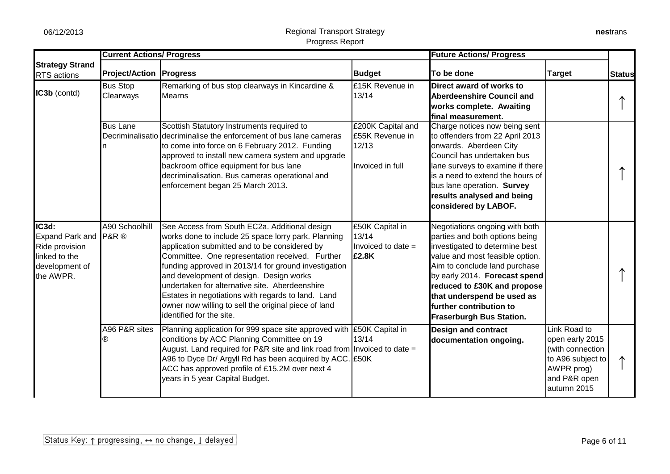|                                                                                                  | <b>Current Actions/ Progress</b> |                                                                                                                                                                                                                                                                                                                                                                                                                                                                                                         |                                                                   | <b>Future Actions/ Progress</b>                                                                                                                                                                                                                                                                                                    |                                                                                                                       |               |
|--------------------------------------------------------------------------------------------------|----------------------------------|---------------------------------------------------------------------------------------------------------------------------------------------------------------------------------------------------------------------------------------------------------------------------------------------------------------------------------------------------------------------------------------------------------------------------------------------------------------------------------------------------------|-------------------------------------------------------------------|------------------------------------------------------------------------------------------------------------------------------------------------------------------------------------------------------------------------------------------------------------------------------------------------------------------------------------|-----------------------------------------------------------------------------------------------------------------------|---------------|
| <b>Strategy Strand</b><br><b>RTS</b> actions                                                     | <b>Project/Action   Progress</b> |                                                                                                                                                                                                                                                                                                                                                                                                                                                                                                         | <b>Budget</b>                                                     | To be done                                                                                                                                                                                                                                                                                                                         | <b>Target</b>                                                                                                         | <b>Status</b> |
| IC3b (contd)                                                                                     | <b>Bus Stop</b><br>Clearways     | Remarking of bus stop clearways in Kincardine &<br>Mearns                                                                                                                                                                                                                                                                                                                                                                                                                                               | £15K Revenue in<br>13/14                                          | Direct award of works to<br>Aberdeenshire Council and<br>works complete. Awaiting<br>final measurement.                                                                                                                                                                                                                            |                                                                                                                       |               |
|                                                                                                  | <b>Bus Lane</b>                  | Scottish Statutory Instruments required to<br>Decriminalisatio decriminalise the enforcement of bus lane cameras<br>to come into force on 6 February 2012. Funding<br>approved to install new camera system and upgrade<br>backroom office equipment for bus lane<br>decriminalisation. Bus cameras operational and<br>enforcement began 25 March 2013.                                                                                                                                                 | £200K Capital and<br>£55K Revenue in<br>12/13<br>Invoiced in full | Charge notices now being sent<br>to offenders from 22 April 2013<br>onwards. Aberdeen City<br>Council has undertaken bus<br>lane surveys to examine if there<br>is a need to extend the hours of<br>bus lane operation. Survey<br>results analysed and being<br>considered by LABOF.                                               |                                                                                                                       |               |
| IC3d:<br>Expand Park and P&R ®<br>Ride provision<br>linked to the<br>development of<br>the AWPR. | A90 Schoolhill                   | See Access from South EC2a. Additional design<br>works done to include 25 space lorry park. Planning<br>application submitted and to be considered by<br>Committee. One representation received. Further<br>funding approved in 2013/14 for ground investigation<br>and development of design. Design works<br>undertaken for alternative site. Aberdeenshire<br>Estates in negotiations with regards to land. Land<br>owner now willing to sell the original piece of land<br>identified for the site. | £50K Capital in<br>13/14<br>Invoiced to date $=$<br>£2.8K         | Negotiations ongoing with both<br>parties and both options being<br>investigated to determine best<br>value and most feasible option.<br>Aim to conclude land purchase<br>by early 2014. Forecast spend<br>reduced to £30K and propose<br>that underspend be used as<br>further contribution to<br><b>Fraserburgh Bus Station.</b> |                                                                                                                       |               |
|                                                                                                  | A96 P&R sites<br>®               | Planning application for 999 space site approved with E50K Capital in<br>conditions by ACC Planning Committee on 19<br>August. Land required for P&R site and link road from Invoiced to date $=$<br>A96 to Dyce Dr/ Argyll Rd has been acquired by ACC. E50K<br>ACC has approved profile of £15.2M over next 4<br>years in 5 year Capital Budget.                                                                                                                                                      | 13/14                                                             | <b>Design and contract</b><br>documentation ongoing.                                                                                                                                                                                                                                                                               | Link Road to<br>open early 2015<br>(with connection<br>to A96 subject to<br>AWPR prog)<br>and P&R open<br>autumn 2015 |               |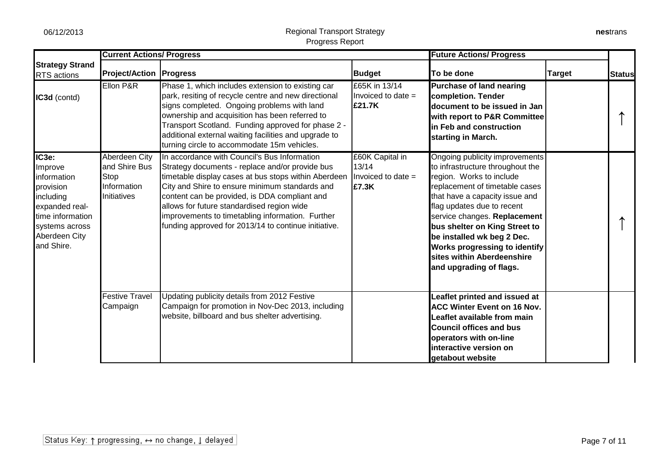|                                                                                                                                                  | <b>Current Actions/ Progress</b>                                     |                                                                                                                                                                                                                                                                                                                                                                                                                      |                                                         | <b>Future Actions/ Progress</b>                                                                                                                                                                                                                                                                                                                                                           |               |               |
|--------------------------------------------------------------------------------------------------------------------------------------------------|----------------------------------------------------------------------|----------------------------------------------------------------------------------------------------------------------------------------------------------------------------------------------------------------------------------------------------------------------------------------------------------------------------------------------------------------------------------------------------------------------|---------------------------------------------------------|-------------------------------------------------------------------------------------------------------------------------------------------------------------------------------------------------------------------------------------------------------------------------------------------------------------------------------------------------------------------------------------------|---------------|---------------|
| <b>Strategy Strand</b><br>RTS actions                                                                                                            | <b>Project/Action   Progress</b>                                     |                                                                                                                                                                                                                                                                                                                                                                                                                      | <b>Budget</b>                                           | To be done                                                                                                                                                                                                                                                                                                                                                                                | <b>Target</b> | <b>Status</b> |
| IC3d (contd)                                                                                                                                     | Ellon P&R                                                            | Phase 1, which includes extension to existing car<br>park, resiting of recycle centre and new directional<br>signs completed. Ongoing problems with land<br>ownership and acquisition has been referred to<br>Transport Scotland. Funding approved for phase 2 -<br>additional external waiting facilities and upgrade to<br>turning circle to accommodate 15m vehicles.                                             | £65K in 13/14<br>Invoiced to date $=$<br>£21.7K         | Purchase of land nearing<br>completion. Tender<br>document to be issued in Jan<br>with report to P&R Committee<br>in Feb and construction<br>starting in March.                                                                                                                                                                                                                           |               |               |
| IC3e:<br>Improve<br>information<br>provision<br>including<br>expanded real-<br>time information<br>systems across<br>Aberdeen City<br>and Shire. | Aberdeen City<br>and Shire Bus<br>Stop<br>Information<br>Initiatives | In accordance with Council's Bus Information<br>Strategy documents - replace and/or provide bus<br>timetable display cases at bus stops within Aberdeen<br>City and Shire to ensure minimum standards and<br>content can be provided, is DDA compliant and<br>allows for future standardised region wide<br>improvements to timetabling information. Further<br>funding approved for 2013/14 to continue initiative. | £60K Capital in<br>13/14<br>Invoiced to date =<br>£7.3K | Ongoing publicity improvements<br>to infrastructure throughout the<br>region. Works to include<br>replacement of timetable cases<br>that have a capacity issue and<br>flag updates due to recent<br>service changes. Replacement<br>bus shelter on King Street to<br>be installed wk beg 2 Dec.<br>Works progressing to identify<br>sites within Aberdeenshire<br>and upgrading of flags. |               |               |
|                                                                                                                                                  | <b>Festive Travel</b><br>Campaign                                    | Updating publicity details from 2012 Festive<br>Campaign for promotion in Nov-Dec 2013, including<br>website, billboard and bus shelter advertising.                                                                                                                                                                                                                                                                 |                                                         | Leaflet printed and issued at<br><b>ACC Winter Event on 16 Nov.</b><br>Leaflet available from main<br><b>Council offices and bus</b><br>operators with on-line<br>interactive version on<br>getabout website                                                                                                                                                                              |               |               |

**nes**trans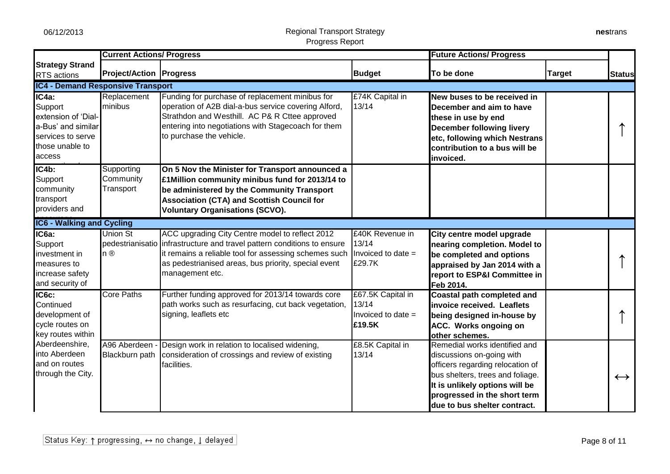|                                                                                                                 | <b>Current Actions/ Progress</b>     |                                                                                                                                                                                                                                                                |                                                            | <b>Future Actions/ Progress</b>                                                                                                                                                                                                      |               |                   |
|-----------------------------------------------------------------------------------------------------------------|--------------------------------------|----------------------------------------------------------------------------------------------------------------------------------------------------------------------------------------------------------------------------------------------------------------|------------------------------------------------------------|--------------------------------------------------------------------------------------------------------------------------------------------------------------------------------------------------------------------------------------|---------------|-------------------|
| <b>Strategy Strand</b><br>RTS actions                                                                           | <b>Project/Action   Progress</b>     |                                                                                                                                                                                                                                                                | <b>Budget</b>                                              | To be done                                                                                                                                                                                                                           | <b>Target</b> | <b>Status</b>     |
| <b>IC4 - Demand Responsive Transport</b>                                                                        |                                      |                                                                                                                                                                                                                                                                |                                                            |                                                                                                                                                                                                                                      |               |                   |
| IC4a:<br>Support<br>extension of 'Dial-<br>a-Bus' and similar<br>services to serve<br>those unable to<br>access | Replacement<br>minibus               | Funding for purchase of replacement minibus for<br>operation of A2B dial-a-bus service covering Alford,<br>Strathdon and Westhill. AC P& R Cttee approved<br>entering into negotiations with Stagecoach for them<br>to purchase the vehicle.                   | £74K Capital in<br>13/14                                   | New buses to be received in<br>December and aim to have<br>these in use by end<br><b>December following livery</b><br>etc, following which Nestrans<br>contribution to a bus will be<br>invoiced.                                    |               |                   |
| $IC4b$ :<br>Support<br>community<br>transport<br>providers and                                                  | Supporting<br>Community<br>Transport | On 5 Nov the Minister for Transport announced a<br>£1Million community minibus fund for 2013/14 to<br>be administered by the Community Transport<br><b>Association (CTA) and Scottish Council for</b><br><b>Voluntary Organisations (SCVO).</b>                |                                                            |                                                                                                                                                                                                                                      |               |                   |
| <b>IC6 - Walking and Cycling</b>                                                                                |                                      |                                                                                                                                                                                                                                                                |                                                            |                                                                                                                                                                                                                                      |               |                   |
| $IC6a$ :<br>Support<br>investment in<br>measures to<br>increase safety<br>and security of                       | <b>Union St</b><br>n®                | ACC upgrading City Centre model to reflect 2012<br>pedestrianisatio infrastructure and travel pattern conditions to ensure<br>it remains a reliable tool for assessing schemes such<br>as pedestrianised areas, bus priority, special event<br>management etc. | £40K Revenue in<br>13/14<br>Invoiced to date =<br>£29.7K   | City centre model upgrade<br>nearing completion. Model to<br>be completed and options<br>appraised by Jan 2014 with a<br>report to ESP&I Committee in<br>Feb 2014.                                                                   |               |                   |
| IC6c:<br>Continued<br>development of<br>cycle routes on<br>key routes within                                    | <b>Core Paths</b>                    | Further funding approved for 2013/14 towards core<br>path works such as resurfacing, cut back vegetation,<br>signing, leaflets etc                                                                                                                             | £67.5K Capital in<br>13/14<br>Invoiced to date =<br>£19.5K | <b>Coastal path completed and</b><br>invoice received. Leaflets<br>being designed in-house by<br><b>ACC.</b> Works ongoing on<br>other schemes.                                                                                      |               |                   |
| Aberdeenshire,<br>into Aberdeen<br>and on routes<br>through the City.                                           | A96 Aberdeen<br>Blackburn path       | Design work in relation to localised widening,<br>consideration of crossings and review of existing<br>facilities.                                                                                                                                             | £8.5K Capital in<br>13/14                                  | Remedial works identified and<br>discussions on-going with<br>officers regarding relocation of<br>bus shelters, trees and foliage.<br>It is unlikely options will be<br>progressed in the short term<br>due to bus shelter contract. |               | $\leftrightarrow$ |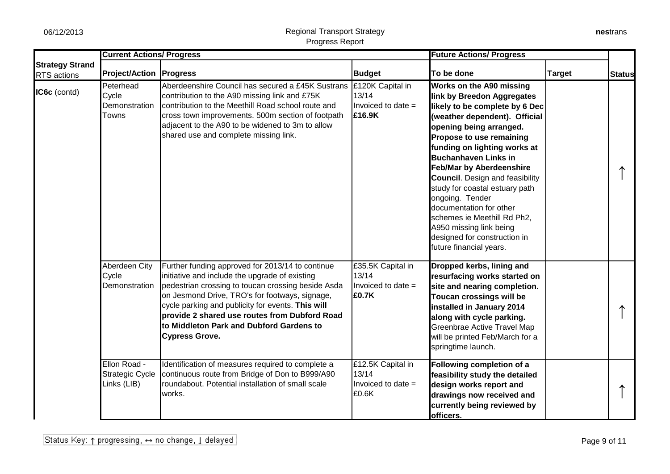|                                       | <b>Current Actions/ Progress</b>                      |                                                                                                                                                                                                                                                                                                                                                                                       |                                                             | <b>Future Actions/ Progress</b>                                                                                                                                                                                                                                                                                                                                                                                                                                                                                                   |               |               |
|---------------------------------------|-------------------------------------------------------|---------------------------------------------------------------------------------------------------------------------------------------------------------------------------------------------------------------------------------------------------------------------------------------------------------------------------------------------------------------------------------------|-------------------------------------------------------------|-----------------------------------------------------------------------------------------------------------------------------------------------------------------------------------------------------------------------------------------------------------------------------------------------------------------------------------------------------------------------------------------------------------------------------------------------------------------------------------------------------------------------------------|---------------|---------------|
| <b>Strategy Strand</b><br>RTS actions | <b>Project/Action Progress</b>                        |                                                                                                                                                                                                                                                                                                                                                                                       | <b>Budget</b>                                               | To be done                                                                                                                                                                                                                                                                                                                                                                                                                                                                                                                        | <b>Target</b> | <b>Status</b> |
| IC6c (contd)                          | Peterhead<br>Cycle<br>Demonstration<br>Towns          | Aberdeenshire Council has secured a £45K Sustrans<br>contribution to the A90 missing link and £75K<br>contribution to the Meethill Road school route and<br>cross town improvements. 500m section of footpath<br>adjacent to the A90 to be widened to 3m to allow<br>shared use and complete missing link.                                                                            | £120K Capital in<br>13/14<br>Invoiced to date =<br>£16.9K   | Works on the A90 missing<br>link by Breedon Aggregates<br>likely to be complete by 6 Dec<br>(weather dependent). Official<br>opening being arranged.<br>Propose to use remaining<br>funding on lighting works at<br><b>Buchanhaven Links in</b><br><b>Feb/Mar by Aberdeenshire</b><br><b>Council.</b> Design and feasibility<br>study for coastal estuary path<br>ongoing. Tender<br>documentation for other<br>schemes ie Meethill Rd Ph2,<br>A950 missing link being<br>designed for construction in<br>future financial years. |               |               |
|                                       | <b>Aberdeen City</b><br>Cycle<br>Demonstration        | Further funding approved for 2013/14 to continue<br>initiative and include the upgrade of existing<br>pedestrian crossing to toucan crossing beside Asda<br>on Jesmond Drive, TRO's for footways, signage,<br>cycle parking and publicity for events. This will<br>provide 2 shared use routes from Dubford Road<br>to Middleton Park and Dubford Gardens to<br><b>Cypress Grove.</b> | £35.5K Capital in<br>13/14<br>Invoiced to date $=$<br>£0.7K | Dropped kerbs, lining and<br>resurfacing works started on<br>site and nearing completion.<br>Toucan crossings will be<br>installed in January 2014<br>along with cycle parking.<br>Greenbrae Active Travel Map<br>will be printed Feb/March for a<br>springtime launch.                                                                                                                                                                                                                                                           |               |               |
|                                       | Ellon Road -<br><b>Strategic Cycle</b><br>Links (LIB) | Identification of measures required to complete a<br>continuous route from Bridge of Don to B999/A90<br>roundabout. Potential installation of small scale<br>works.                                                                                                                                                                                                                   | £12.5K Capital in<br>13/14<br>Invoiced to date $=$<br>£0.6K | Following completion of a<br>feasibility study the detailed<br>design works report and<br>drawings now received and<br>currently being reviewed by<br>officers.                                                                                                                                                                                                                                                                                                                                                                   |               |               |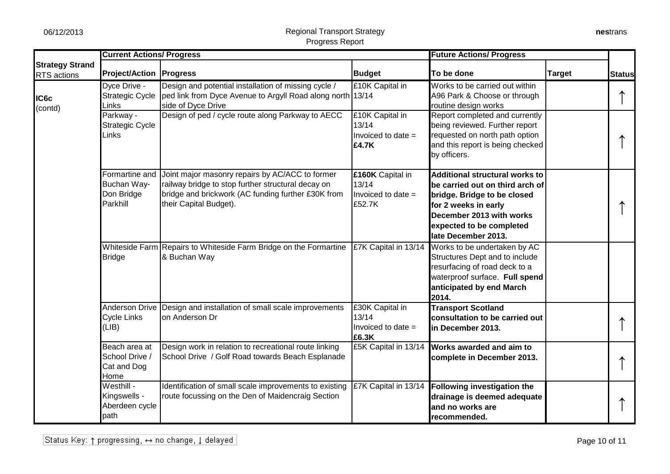|                                       | <b>Current Actions/ Progress</b>                        |                                                                                                                                                                                       |                                                           | <b>Future Actions/ Progress</b>                                                                                                                                                                                |               |               |
|---------------------------------------|---------------------------------------------------------|---------------------------------------------------------------------------------------------------------------------------------------------------------------------------------------|-----------------------------------------------------------|----------------------------------------------------------------------------------------------------------------------------------------------------------------------------------------------------------------|---------------|---------------|
| <b>Strategy Strand</b><br>RTS actions | <b>Project/Action   Progress</b>                        |                                                                                                                                                                                       | <b>Budget</b>                                             | To be done                                                                                                                                                                                                     | <b>Target</b> | <b>Status</b> |
| IC6c<br>(contd)                       | Dyce Drive -<br>Strategic Cycle<br>Links                | Design and potential installation of missing cycle /<br>ped link from Dyce Avenue to Argyll Road along north 13/14<br>side of Dyce Drive                                              | £10K Capital in                                           | Works to be carried out within<br>A96 Park & Choose or through<br>routine design works                                                                                                                         |               |               |
|                                       | Parkway -<br><b>Strategic Cycle</b><br>Links            | Design of ped / cycle route along Parkway to AECC                                                                                                                                     | £10K Capital in<br>13/14<br>Invoiced to date $=$<br>£4.7K | Report completed and currently<br>being reviewed. Further report<br>requested on north path option<br>and this report is being checked<br>by officers.                                                         |               |               |
|                                       | Formartine and<br>Buchan Way-<br>Don Bridge<br>Parkhill | Joint major masonry repairs by AC/ACC to former<br>railway bridge to stop further structural decay on<br>bridge and brickwork (AC funding further £30K from<br>their Capital Budget). | £160K Capital in<br>13/14<br>Invoiced to date =<br>£52.7K | <b>Additional structural works to</b><br>be carried out on third arch of<br>bridge. Bridge to be closed<br>for 2 weeks in early<br>December 2013 with works<br>expected to be completed<br>late December 2013. |               |               |
|                                       | <b>Bridge</b>                                           | Whiteside Farm Repairs to Whiteside Farm Bridge on the Formartine<br>& Buchan Way                                                                                                     | <b>£7K Capital in 13/14</b>                               | Works to be undertaken by AC<br>Structures Dept and to include<br>resurfacing of road deck to a<br>waterproof surface. Full spend<br>anticipated by end March<br>2014.                                         |               |               |
|                                       | <b>Cycle Links</b><br>(LIB)                             | Anderson Drive Design and installation of small scale improvements<br>on Anderson Dr                                                                                                  | £30K Capital in<br>13/14<br>Invoiced to date $=$<br>£6.3K | <b>Transport Scotland</b><br>consultation to be carried out<br>in December 2013.                                                                                                                               |               |               |
|                                       | Beach area at<br>School Drive /<br>Cat and Dog<br>Home  | Design work in relation to recreational route linking<br>School Drive / Golf Road towards Beach Esplanade                                                                             | £5K Capital in 13/14                                      | Works awarded and aim to<br>complete in December 2013.                                                                                                                                                         |               |               |
|                                       | Westhill -<br>Kingswells -<br>Aberdeen cycle<br>path    | Identification of small scale improvements to existing<br>route focussing on the Den of Maidencraig Section                                                                           | £7K Capital in 13/14                                      | Following investigation the<br>drainage is deemed adequate<br>and no works are<br>recommended.                                                                                                                 |               |               |